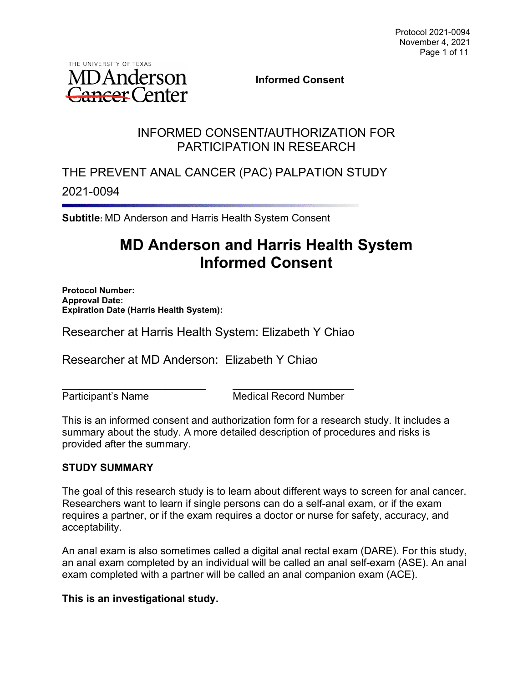

**Informed Consent**

## INFORMED CONSENT**/**AUTHORIZATION FOR PARTICIPATION IN RESEARCH

THE PREVENT ANAL CANCER (PAC) PALPATION STUDY 2021-0094

**Subtitle:** MD Anderson and Harris Health System Consent

# **MD Anderson and Harris Health System Informed Consent**

**Protocol Number: Approval Date: Expiration Date (Harris Health System):** 

Researcher at Harris Health System: Elizabeth Y Chiao

Researcher at MD Anderson: Elizabeth Y Chiao

\_\_\_\_\_\_\_\_\_\_\_\_\_\_\_\_\_\_\_\_\_\_\_\_\_ \_\_\_\_\_\_\_\_\_\_\_\_\_\_\_\_\_\_\_\_\_ Participant's Name Medical Record Number

This is an informed consent and authorization form for a research study. It includes a summary about the study. A more detailed description of procedures and risks is provided after the summary.

## **STUDY SUMMARY**

The goal of this research study is to learn about different ways to screen for anal cancer. Researchers want to learn if single persons can do a self-anal exam, or if the exam requires a partner, or if the exam requires a doctor or nurse for safety, accuracy, and acceptability.

An anal exam is also sometimes called a digital anal rectal exam (DARE). For this study, an anal exam completed by an individual will be called an anal self-exam (ASE). An anal exam completed with a partner will be called an anal companion exam (ACE).

#### **This is an investigational study.**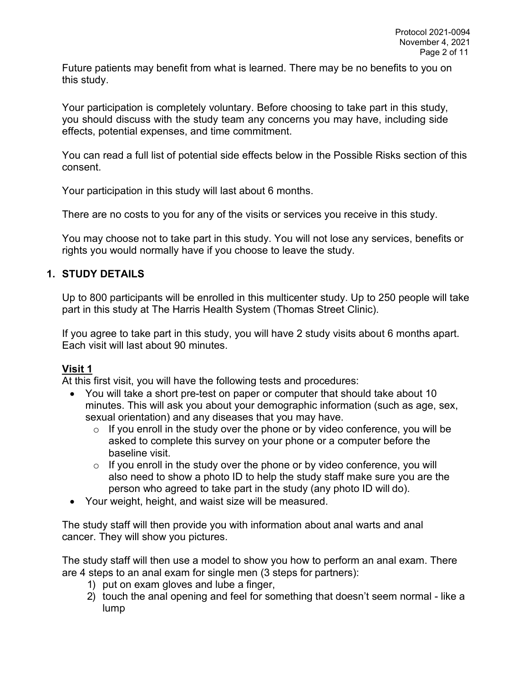Future patients may benefit from what is learned. There may be no benefits to you on this study.

Your participation is completely voluntary. Before choosing to take part in this study, you should discuss with the study team any concerns you may have, including side effects, potential expenses, and time commitment.

You can read a full list of potential side effects below in the Possible Risks section of this consent.

Your participation in this study will last about 6 months.

There are no costs to you for any of the visits or services you receive in this study.

You may choose not to take part in this study. You will not lose any services, benefits or rights you would normally have if you choose to leave the study.

## **1. STUDY DETAILS**

Up to 800 participants will be enrolled in this multicenter study. Up to 250 people will take part in this study at The Harris Health System (Thomas Street Clinic).

If you agree to take part in this study, you will have 2 study visits about 6 months apart. Each visit will last about 90 minutes.

## **Visit 1**

At this first visit, you will have the following tests and procedures:

- You will take a short pre-test on paper or computer that should take about 10 minutes. This will ask you about your demographic information (such as age, sex, sexual orientation) and any diseases that you may have.
	- $\circ$  If you enroll in the study over the phone or by video conference, you will be asked to complete this survey on your phone or a computer before the baseline visit.
	- $\circ$  If you enroll in the study over the phone or by video conference, you will also need to show a photo ID to help the study staff make sure you are the person who agreed to take part in the study (any photo ID will do).
- Your weight, height, and waist size will be measured.

The study staff will then provide you with information about anal warts and anal cancer. They will show you pictures.

The study staff will then use a model to show you how to perform an anal exam. There are 4 steps to an anal exam for single men (3 steps for partners):

- 1) put on exam gloves and lube a finger,
- 2) touch the anal opening and feel for something that doesn't seem normal like a lump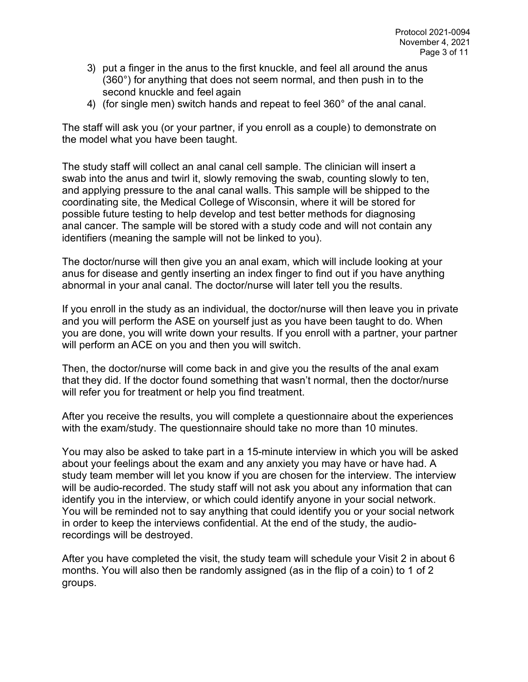- 3) put a finger in the anus to the first knuckle, and feel all around the anus (360°) for anything that does not seem normal, and then push in to the second knuckle and feel again
- 4) (for single men) switch hands and repeat to feel 360° of the anal canal.

The staff will ask you (or your partner, if you enroll as a couple) to demonstrate on the model what you have been taught.

The study staff will collect an anal canal cell sample. The clinician will insert a swab into the anus and twirl it, slowly removing the swab, counting slowly to ten, and applying pressure to the anal canal walls. This sample will be shipped to the coordinating site, the Medical College of Wisconsin, where it will be stored for possible future testing to help develop and test better methods for diagnosing anal cancer. The sample will be stored with a study code and will not contain any identifiers (meaning the sample will not be linked to you).

The doctor/nurse will then give you an anal exam, which will include looking at your anus for disease and gently inserting an index finger to find out if you have anything abnormal in your anal canal. The doctor/nurse will later tell you the results.

If you enroll in the study as an individual, the doctor/nurse will then leave you in private and you will perform the ASE on yourself just as you have been taught to do. When you are done, you will write down your results. If you enroll with a partner, your partner will perform an ACE on you and then you will switch.

Then, the doctor/nurse will come back in and give you the results of the anal exam that they did. If the doctor found something that wasn't normal, then the doctor/nurse will refer you for treatment or help you find treatment.

After you receive the results, you will complete a questionnaire about the experiences with the exam/study. The questionnaire should take no more than 10 minutes.

You may also be asked to take part in a 15-minute interview in which you will be asked about your feelings about the exam and any anxiety you may have or have had. A study team member will let you know if you are chosen for the interview. The interview will be audio-recorded. The study staff will not ask you about any information that can identify you in the interview, or which could identify anyone in your social network. You will be reminded not to say anything that could identify you or your social network in order to keep the interviews confidential. At the end of the study, the audiorecordings will be destroyed.

After you have completed the visit, the study team will schedule your Visit 2 in about 6 months. You will also then be randomly assigned (as in the flip of a coin) to 1 of 2 groups.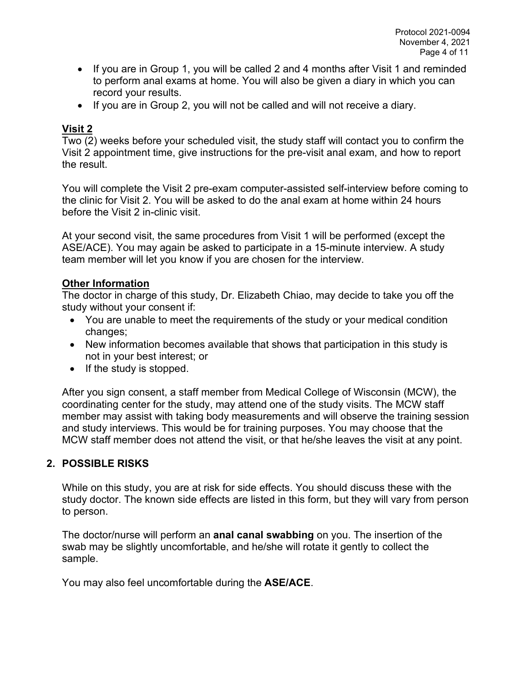- If you are in Group 1, you will be called 2 and 4 months after Visit 1 and reminded to perform anal exams at home. You will also be given a diary in which you can record your results.
- If you are in Group 2, you will not be called and will not receive a diary.

## **Visit 2**

Two (2) weeks before your scheduled visit, the study staff will contact you to confirm the Visit 2 appointment time, give instructions for the pre-visit anal exam, and how to report the result.

You will complete the Visit 2 pre-exam computer-assisted self-interview before coming to the clinic for Visit 2. You will be asked to do the anal exam at home within 24 hours before the Visit 2 in-clinic visit.

At your second visit, the same procedures from Visit 1 will be performed (except the ASE/ACE). You may again be asked to participate in a 15-minute interview. A study team member will let you know if you are chosen for the interview.

### **Other Information**

The doctor in charge of this study, Dr. Elizabeth Chiao, may decide to take you off the study without your consent if:

- You are unable to meet the requirements of the study or your medical condition changes;
- New information becomes available that shows that participation in this study is not in your best interest; or
- If the study is stopped.

After you sign consent, a staff member from Medical College of Wisconsin (MCW), the coordinating center for the study, may attend one of the study visits. The MCW staff member may assist with taking body measurements and will observe the training session and study interviews. This would be for training purposes. You may choose that the MCW staff member does not attend the visit, or that he/she leaves the visit at any point.

## **2. POSSIBLE RISKS**

While on this study, you are at risk for side effects. You should discuss these with the study doctor. The known side effects are listed in this form, but they will vary from person to person.

The doctor/nurse will perform an **anal canal swabbing** on you. The insertion of the swab may be slightly uncomfortable, and he/she will rotate it gently to collect the sample.

You may also feel uncomfortable during the **ASE/ACE**.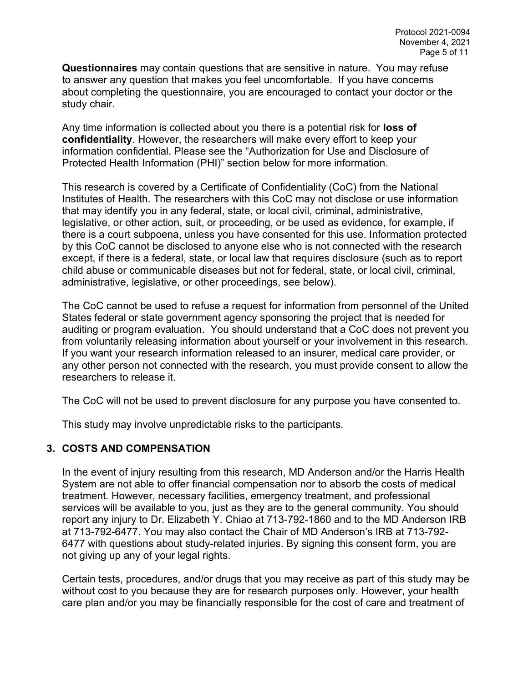**Questionnaires** may contain questions that are sensitive in nature. You may refuse to answer any question that makes you feel uncomfortable. If you have concerns about completing the questionnaire, you are encouraged to contact your doctor or the study chair.

Any time information is collected about you there is a potential risk for **loss of confidentiality**. However, the researchers will make every effort to keep your information confidential. Please see the "Authorization for Use and Disclosure of Protected Health Information (PHI)" section below for more information.

This research is covered by a Certificate of Confidentiality (CoC) from the National Institutes of Health. The researchers with this CoC may not disclose or use information that may identify you in any federal, state, or local civil, criminal, administrative, legislative, or other action, suit, or proceeding, or be used as evidence, for example, if there is a court subpoena, unless you have consented for this use. Information protected by this CoC cannot be disclosed to anyone else who is not connected with the research except, if there is a federal, state, or local law that requires disclosure (such as to report child abuse or communicable diseases but not for federal, state, or local civil, criminal, administrative, legislative, or other proceedings, see below).

The CoC cannot be used to refuse a request for information from personnel of the United States federal or state government agency sponsoring the project that is needed for auditing or program evaluation. You should understand that a CoC does not prevent you from voluntarily releasing information about yourself or your involvement in this research. If you want your research information released to an insurer, medical care provider, or any other person not connected with the research, you must provide consent to allow the researchers to release it.

The CoC will not be used to prevent disclosure for any purpose you have consented to.

This study may involve unpredictable risks to the participants.

#### **3. COSTS AND COMPENSATION**

In the event of injury resulting from this research, MD Anderson and/or the Harris Health System are not able to offer financial compensation nor to absorb the costs of medical treatment. However, necessary facilities, emergency treatment, and professional services will be available to you, just as they are to the general community. You should report any injury to Dr. Elizabeth Y. Chiao at 713-792-1860 and to the MD Anderson IRB at 713-792-6477. You may also contact the Chair of MD Anderson's IRB at 713-792- 6477 with questions about study-related injuries. By signing this consent form, you are not giving up any of your legal rights.

Certain tests, procedures, and/or drugs that you may receive as part of this study may be without cost to you because they are for research purposes only. However, your health care plan and/or you may be financially responsible for the cost of care and treatment of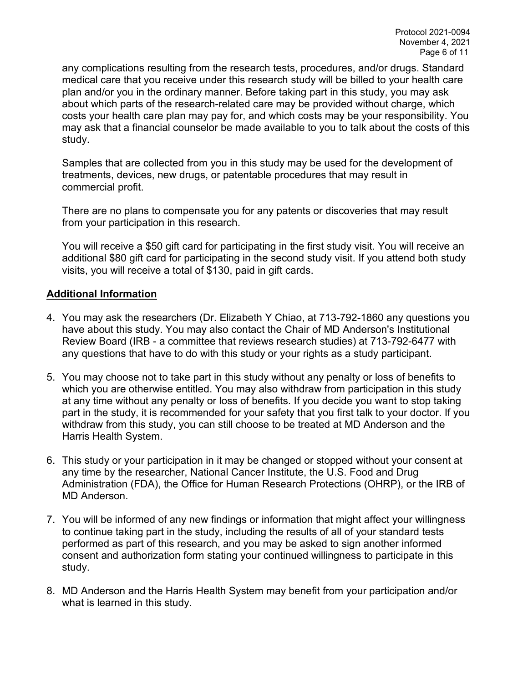any complications resulting from the research tests, procedures, and/or drugs. Standard medical care that you receive under this research study will be billed to your health care plan and/or you in the ordinary manner. Before taking part in this study, you may ask about which parts of the research-related care may be provided without charge, which costs your health care plan may pay for, and which costs may be your responsibility. You may ask that a financial counselor be made available to you to talk about the costs of this study.

Samples that are collected from you in this study may be used for the development of treatments, devices, new drugs, or patentable procedures that may result in commercial profit.

There are no plans to compensate you for any patents or discoveries that may result from your participation in this research.

You will receive a \$50 gift card for participating in the first study visit. You will receive an additional \$80 gift card for participating in the second study visit. If you attend both study visits, you will receive a total of \$130, paid in gift cards.

### **Additional Information**

- 4. You may ask the researchers (Dr. Elizabeth Y Chiao, at 713-792-1860 any questions you have about this study. You may also contact the Chair of MD Anderson's Institutional Review Board (IRB - a committee that reviews research studies) at 713-792-6477 with any questions that have to do with this study or your rights as a study participant.
- 5. You may choose not to take part in this study without any penalty or loss of benefits to which you are otherwise entitled. You may also withdraw from participation in this study at any time without any penalty or loss of benefits. If you decide you want to stop taking part in the study, it is recommended for your safety that you first talk to your doctor. If you withdraw from this study, you can still choose to be treated at MD Anderson and the Harris Health System.
- 6. This study or your participation in it may be changed or stopped without your consent at any time by the researcher, National Cancer Institute, the U.S. Food and Drug Administration (FDA), the Office for Human Research Protections (OHRP), or the IRB of MD Anderson.
- 7. You will be informed of any new findings or information that might affect your willingness to continue taking part in the study, including the results of all of your standard tests performed as part of this research, and you may be asked to sign another informed consent and authorization form stating your continued willingness to participate in this study.
- 8. MD Anderson and the Harris Health System may benefit from your participation and/or what is learned in this study.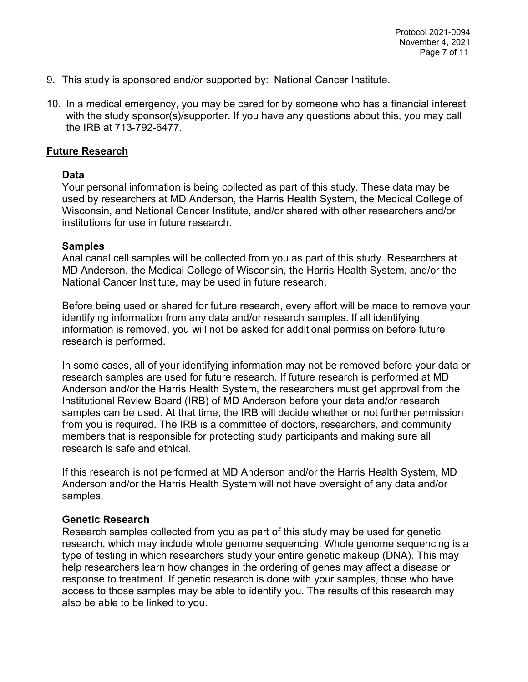- 9. This study is sponsored and/or supported by: National Cancer Institute.
- 10. In a medical emergency, you may be cared for by someone who has a financial interest with the study sponsor(s)/supporter. If you have any questions about this, you may call the IRB at 713-792-6477.

#### **Future Research**

#### **Data**

Your personal information is being collected as part of this study. These data may be used by researchers at MD Anderson, the Harris Health System, the Medical College of Wisconsin, and National Cancer Institute, and/or shared with other researchers and/or institutions for use in future research.

#### **Samples**

Anal canal cell samples will be collected from you as part of this study. Researchers at MD Anderson, the Medical College of Wisconsin, the Harris Health System, and/or the National Cancer Institute, may be used in future research.

Before being used or shared for future research, every effort will be made to remove your identifying information from any data and/or research samples. If all identifying information is removed, you will not be asked for additional permission before future research is performed.

In some cases, all of your identifying information may not be removed before your data or research samples are used for future research. If future research is performed at MD Anderson and/or the Harris Health System, the researchers must get approval from the Institutional Review Board (IRB) of MD Anderson before your data and/or research samples can be used. At that time, the IRB will decide whether or not further permission from you is required. The IRB is a committee of doctors, researchers, and community members that is responsible for protecting study participants and making sure all research is safe and ethical.

If this research is not performed at MD Anderson and/or the Harris Health System, MD Anderson and/or the Harris Health System will not have oversight of any data and/or samples.

#### **Genetic Research**

Research samples collected from you as part of this study may be used for genetic research, which may include whole genome sequencing. Whole genome sequencing is a type of testing in which researchers study your entire genetic makeup (DNA). This may help researchers learn how changes in the ordering of genes may affect a disease or response to treatment. If genetic research is done with your samples, those who have access to those samples may be able to identify you. The results of this research may also be able to be linked to you.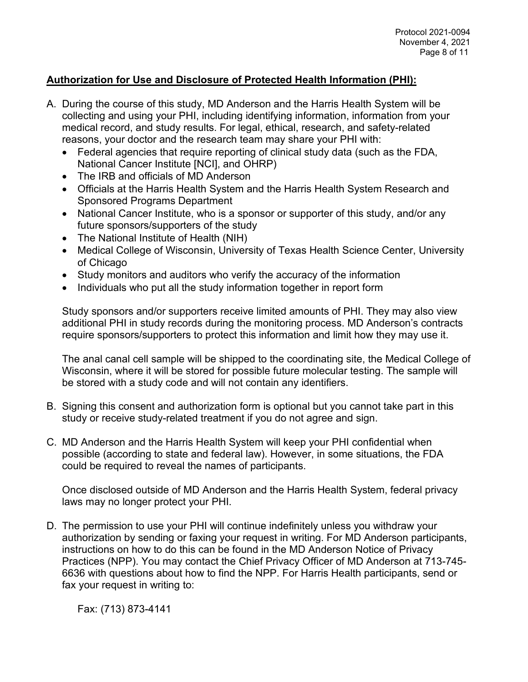## **Authorization for Use and Disclosure of Protected Health Information (PHI):**

- A. During the course of this study, MD Anderson and the Harris Health System will be collecting and using your PHI, including identifying information, information from your medical record, and study results. For legal, ethical, research, and safety-related reasons, your doctor and the research team may share your PHI with:
	- Federal agencies that require reporting of clinical study data (such as the FDA, National Cancer Institute [NCI], and OHRP)
	- The IRB and officials of MD Anderson
	- Officials at the Harris Health System and the Harris Health System Research and Sponsored Programs Department
	- National Cancer Institute, who is a sponsor or supporter of this study, and/or any future sponsors/supporters of the study
	- The National Institute of Health (NIH)
	- Medical College of Wisconsin, University of Texas Health Science Center, University of Chicago
	- Study monitors and auditors who verify the accuracy of the information
	- Individuals who put all the study information together in report form

Study sponsors and/or supporters receive limited amounts of PHI. They may also view additional PHI in study records during the monitoring process. MD Anderson's contracts require sponsors/supporters to protect this information and limit how they may use it.

The anal canal cell sample will be shipped to the coordinating site, the Medical College of Wisconsin, where it will be stored for possible future molecular testing. The sample will be stored with a study code and will not contain any identifiers.

- B. Signing this consent and authorization form is optional but you cannot take part in this study or receive study-related treatment if you do not agree and sign.
- C. MD Anderson and the Harris Health System will keep your PHI confidential when possible (according to state and federal law). However, in some situations, the FDA could be required to reveal the names of participants.

Once disclosed outside of MD Anderson and the Harris Health System, federal privacy laws may no longer protect your PHI.

D. The permission to use your PHI will continue indefinitely unless you withdraw your authorization by sending or faxing your request in writing. For MD Anderson participants, instructions on how to do this can be found in the MD Anderson Notice of Privacy Practices (NPP). You may contact the Chief Privacy Officer of MD Anderson at 713-745- 6636 with questions about how to find the NPP. For Harris Health participants, send or fax your request in writing to:

Fax: (713) 873-4141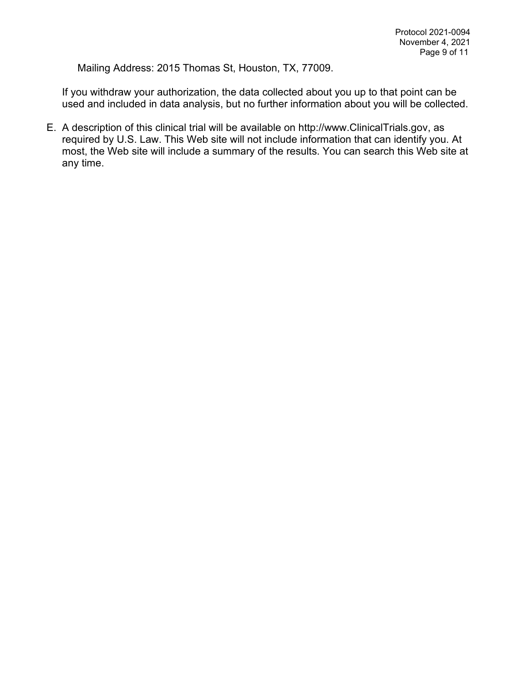Mailing Address: 2015 Thomas St, Houston, TX, 77009.

If you withdraw your authorization, the data collected about you up to that point can be used and included in data analysis, but no further information about you will be collected.

E. A description of this clinical trial will be available on http://www.ClinicalTrials.gov, as required by U.S. Law. This Web site will not include information that can identify you. At most, the Web site will include a summary of the results. You can search this Web site at any time.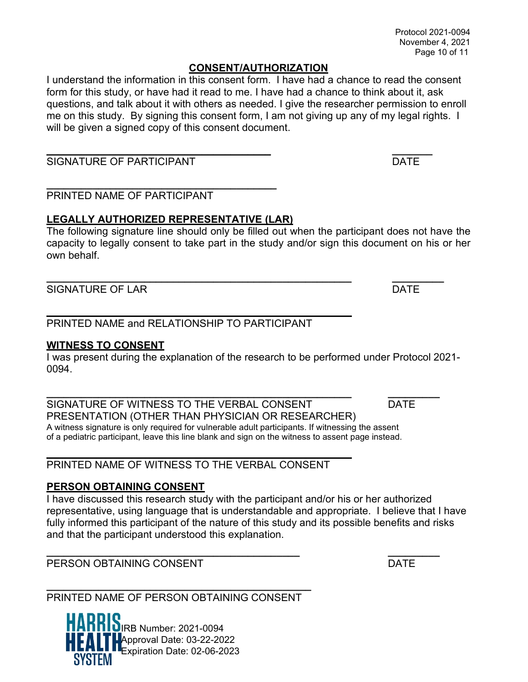#### **CONSENT/AUTHORIZATION**

I understand the information in this consent form. I have had a chance to read the consent form for this study, or have had it read to me. I have had a chance to think about it, ask questions, and talk about it with others as needed. I give the researcher permission to enroll me on this study. By signing this consent form, I am not giving up any of my legal rights. I will be given a signed copy of this consent document.

#### **\_\_\_\_\_\_\_\_\_\_\_\_\_\_\_\_\_\_\_\_\_\_\_\_\_\_\_\_\_\_\_\_\_\_\_\_\_\_\_ \_\_\_\_\_\_\_** SIGNATURE OF PARTICIPANT **EXECUTE A SIGNATURE OF PARTICIPANT**

#### **\_\_\_\_\_\_\_\_\_\_\_\_\_\_\_\_\_\_\_\_\_\_\_\_\_\_\_\_\_\_\_\_\_\_\_\_\_\_\_\_** PRINTED NAME OF PARTICIPANT

## **LEGALLY AUTHORIZED REPRESENTATIVE (LAR)**

The following signature line should only be filled out when the participant does not have the capacity to legally consent to take part in the study and/or sign this document on his or her own behalf.

SIGNATURE OF LAR DATE

## PRINTED NAME and RELATIONSHIP TO PARTICIPANT

## **WITNESS TO CONSENT**

I was present during the explanation of the research to be performed under Protocol 2021- 0094.

**\_\_\_\_\_\_\_\_\_\_\_\_\_\_\_\_\_\_\_\_\_\_\_\_\_\_\_\_\_\_\_\_\_\_\_\_\_\_\_\_\_\_\_\_\_\_\_\_\_\_\_\_\_ \_\_\_\_\_\_\_\_\_** SIGNATURE OF WITNESS TO THE VERBAL CONSENT DATE PRESENTATION (OTHER THAN PHYSICIAN OR RESEARCHER) A witness signature is only required for vulnerable adult participants. If witnessing the assent of a pediatric participant, leave this line blank and sign on the witness to assent page instead.

PRINTED NAME OF WITNESS TO THE VERBAL CONSENT

## **PERSON OBTAINING CONSENT**

I have discussed this research study with the participant and/or his or her authorized representative, using language that is understandable and appropriate. I believe that I have fully informed this participant of the nature of this study and its possible benefits and risks and that the participant understood this explanation.

PERSON OBTAINING CONSENT EXAMPLE THE RESON OF DATE

#### **\_\_\_\_\_\_\_\_\_\_\_\_\_\_\_\_\_\_\_\_\_\_\_\_\_\_\_\_\_\_\_\_\_\_\_\_\_\_\_\_\_\_\_\_\_\_** PRINTED NAME OF PERSON OBTAINING CONSENT

IRB Number: 2021-0094 Approval Date: 03-22-2022 Expiration Date: 02-06-2023

**\_\_\_\_\_\_\_\_\_\_\_\_\_\_\_\_\_\_\_\_\_\_\_\_\_\_\_\_\_\_\_\_\_\_\_\_\_\_\_\_\_\_\_\_ \_\_\_\_\_\_\_\_\_**

**\_\_\_\_\_\_\_\_\_\_\_\_\_\_\_\_\_\_\_\_\_\_\_\_\_\_\_\_\_\_\_\_\_\_\_\_\_\_\_\_\_\_\_\_\_\_\_\_\_\_\_\_\_ \_\_\_\_\_\_\_\_\_**